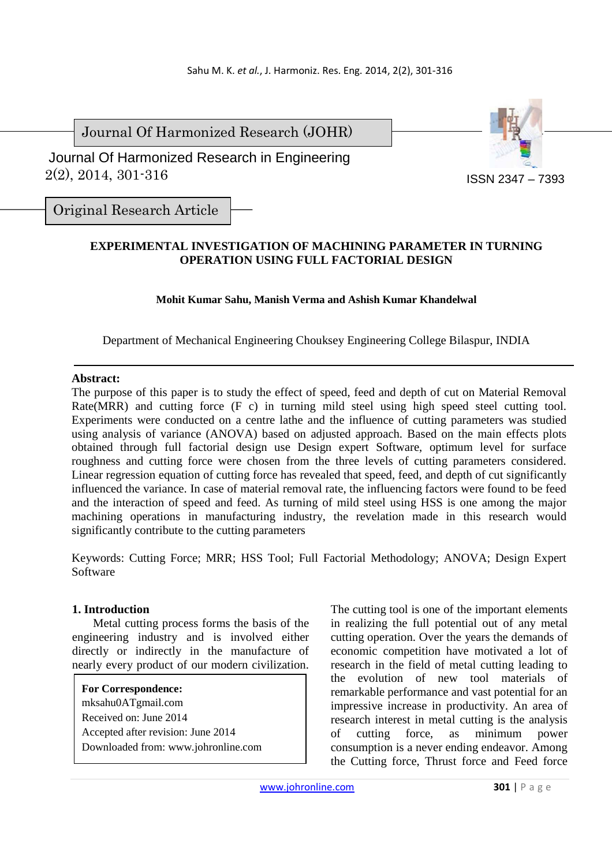Journal Of Harmonized Research (JOHR)

 2(2), 2014, 301-316 Journal Of Harmonized Research in Engineering



Original Research Article

# **EXPERIMENTAL INVESTIGATION OF MACHINING PARAMETER IN TURNING OPERATION USING FULL FACTORIAL DESIGN**

## **Mohit Kumar Sahu, Manish Verma and Ashish Kumar Khandelwal**

Department of Mechanical Engineering Chouksey Engineering College Bilaspur, INDIA

## **Abstract:**

The purpose of this paper is to study the effect of speed, feed and depth of cut on Material Removal Rate(MRR) and cutting force (F c) in turning mild steel using high speed steel cutting tool. Experiments were conducted on a centre lathe and the influence of cutting parameters was studied using analysis of variance (ANOVA) based on adjusted approach. Based on the main effects plots obtained through full factorial design use Design expert Software, optimum level for surface roughness and cutting force were chosen from the three levels of cutting parameters considered. Linear regression equation of cutting force has revealed that speed, feed, and depth of cut significantly influenced the variance. In case of material removal rate, the influencing factors were found to be feed and the interaction of speed and feed. As turning of mild steel using HSS is one among the major machining operations in manufacturing industry, the revelation made in this research would significantly contribute to the cutting parameters

Keywords: Cutting Force; MRR; HSS Tool; Full Factorial Methodology; ANOVA; Design Expert Software

## **1. Introduction**

 Metal cutting process forms the basis of the engineering industry and is involved either directly or indirectly in the manufacture of nearly every product of our modern civilization.

**For Correspondence:**  mksahu0ATgmail.com Received on: June 2014 Accepted after revision: June 2014 Downloaded from: www.johronline.com The cutting tool is one of the important elements in realizing the full potential out of any metal cutting operation. Over the years the demands of economic competition have motivated a lot of research in the field of metal cutting leading to the evolution of new tool materials of remarkable performance and vast potential for an impressive increase in productivity. An area of research interest in metal cutting is the analysis of cutting force, as minimum power consumption is a never ending endeavor. Among the Cutting force, Thrust force and Feed force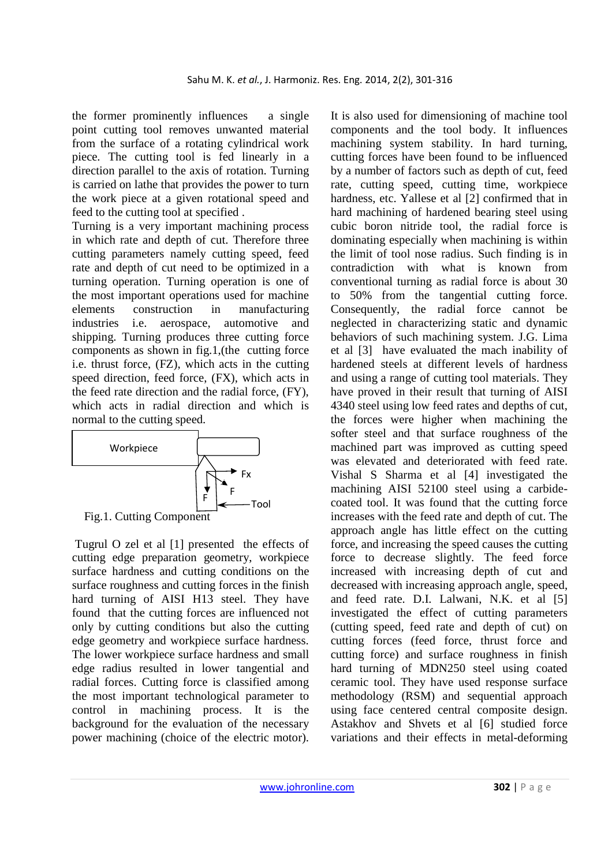the former prominently influences a single point cutting tool removes unwanted material from the surface of a rotating cylindrical work piece. The cutting tool is fed linearly in a direction parallel to the axis of rotation. Turning is carried on lathe that provides the power to turn the work piece at a given rotational speed and feed to the cutting tool at specified .

Turning is a very important machining process in which rate and depth of cut. Therefore three cutting parameters namely cutting speed, feed rate and depth of cut need to be optimized in a turning operation. Turning operation is one of the most important operations used for machine elements construction in manufacturing industries i.e. aerospace, automotive and shipping. Turning produces three cutting force components as shown in fig.1,(the cutting force i.e. thrust force, (FZ), which acts in the cutting speed direction, feed force, (FX), which acts in the feed rate direction and the radial force, (FY), which acts in radial direction and which is normal to the cutting speed.



 Tugrul O zel et al [1] presented the effects of cutting edge preparation geometry, workpiece surface hardness and cutting conditions on the surface roughness and cutting forces in the finish hard turning of AISI H13 steel. They have found that the cutting forces are influenced not only by cutting conditions but also the cutting edge geometry and workpiece surface hardness. The lower workpiece surface hardness and small edge radius resulted in lower tangential and radial forces. Cutting force is classified among the most important technological parameter to control in machining process. It is the background for the evaluation of the necessary power machining (choice of the electric motor). It is also used for dimensioning of machine tool components and the tool body. It influences machining system stability. In hard turning, cutting forces have been found to be influenced by a number of factors such as depth of cut, feed rate, cutting speed, cutting time, workpiece hardness, etc. Yallese et al [2] confirmed that in hard machining of hardened bearing steel using cubic boron nitride tool, the radial force is dominating especially when machining is within the limit of tool nose radius. Such finding is in contradiction with what is known from conventional turning as radial force is about 30 to 50% from the tangential cutting force. Consequently, the radial force cannot be neglected in characterizing static and dynamic behaviors of such machining system. J.G. Lima et al [3] have evaluated the mach inability of hardened steels at different levels of hardness and using a range of cutting tool materials. They have proved in their result that turning of AISI 4340 steel using low feed rates and depths of cut, the forces were higher when machining the softer steel and that surface roughness of the machined part was improved as cutting speed was elevated and deteriorated with feed rate. Vishal S Sharma et al [4] investigated the machining AISI 52100 steel using a carbidecoated tool. It was found that the cutting force increases with the feed rate and depth of cut. The approach angle has little effect on the cutting force, and increasing the speed causes the cutting force to decrease slightly. The feed force increased with increasing depth of cut and decreased with increasing approach angle, speed, and feed rate. D.I. Lalwani, N.K. et al [5] investigated the effect of cutting parameters (cutting speed, feed rate and depth of cut) on cutting forces (feed force, thrust force and cutting force) and surface roughness in finish hard turning of MDN250 steel using coated ceramic tool. They have used response surface methodology (RSM) and sequential approach using face centered central composite design. Astakhov and Shvets et al [6] studied force variations and their effects in metal-deforming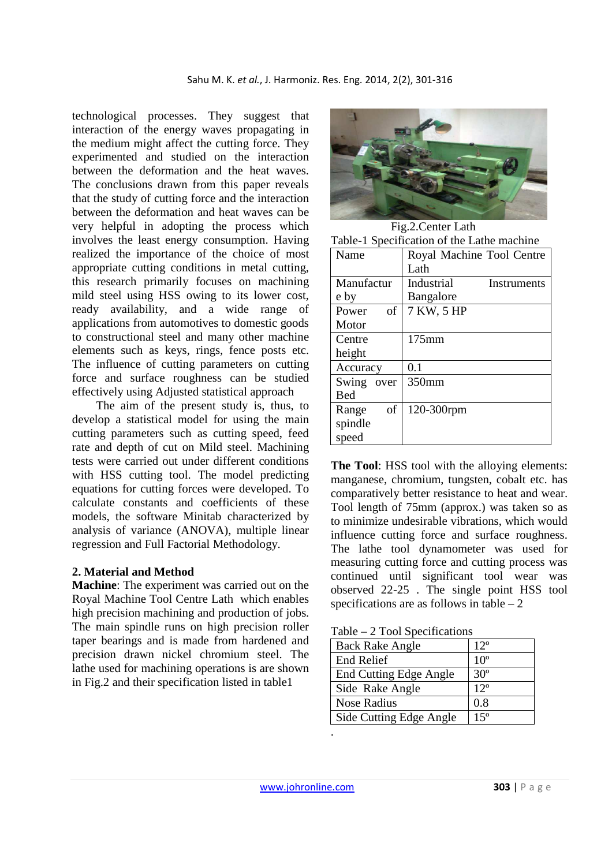technological processes. They suggest that interaction of the energy waves propagating in the medium might affect the cutting force. They experimented and studied on the interaction between the deformation and the heat waves. The conclusions drawn from this paper reveals that the study of cutting force and the interaction between the deformation and heat waves can be very helpful in adopting the process which involves the least energy consumption. Having realized the importance of the choice of most appropriate cutting conditions in metal cutting, this research primarily focuses on machining mild steel using HSS owing to its lower cost, ready availability, and a wide range of applications from automotives to domestic goods to constructional steel and many other machine elements such as keys, rings, fence posts etc. The influence of cutting parameters on cutting force and surface roughness can be studied effectively using Adjusted statistical approach

 The aim of the present study is, thus, to develop a statistical model for using the main cutting parameters such as cutting speed, feed rate and depth of cut on Mild steel. Machining tests were carried out under different conditions with HSS cutting tool. The model predicting equations for cutting forces were developed. To calculate constants and coefficients of these models, the software Minitab characterized by analysis of variance (ANOVA), multiple linear regression and Full Factorial Methodology.

## **2. Material and Method**

**Machine**: The experiment was carried out on the Royal Machine Tool Centre Lath which enables high precision machining and production of jobs. The main spindle runs on high precision roller taper bearings and is made from hardened and precision drawn nickel chromium steel. The lathe used for machining operations is are shown in Fig.2 and their specification listed in table1



Fig.2.Center Lath

| Table-1 Specification of the Lathe machine |                           |  |  |  |  |  |
|--------------------------------------------|---------------------------|--|--|--|--|--|
| Name                                       | Royal Machine Tool Centre |  |  |  |  |  |
|                                            | Lath                      |  |  |  |  |  |
| Manufactur                                 | Industrial<br>Instruments |  |  |  |  |  |
| e by                                       | Bangalore                 |  |  |  |  |  |
| of<br>Power                                | 7 KW, 5 HP                |  |  |  |  |  |
| Motor                                      |                           |  |  |  |  |  |
| Centre                                     | 175mm                     |  |  |  |  |  |
| height                                     |                           |  |  |  |  |  |
| Accuracy                                   | 0.1                       |  |  |  |  |  |
| Swing<br>over                              | 350mm                     |  |  |  |  |  |
| <b>Bed</b>                                 |                           |  |  |  |  |  |
| of<br>Range                                | 120-300rpm                |  |  |  |  |  |
| spindle                                    |                           |  |  |  |  |  |
| speed                                      |                           |  |  |  |  |  |

**The Tool**: HSS tool with the alloying elements: manganese, chromium, tungsten, cobalt etc. has comparatively better resistance to heat and wear. Tool length of 75mm (approx.) was taken so as to minimize undesirable vibrations, which would influence cutting force and surface roughness. The lathe tool dynamometer was used for measuring cutting force and cutting process was continued until significant tool wear was observed 22-25 . The single point HSS tool specifications are as follows in table  $-2$ 

Table – 2 Tool Specifications

| <b>Back Rake Angle</b>        | $12^{\circ}$    |
|-------------------------------|-----------------|
| <b>End Relief</b>             | 10 <sup>o</sup> |
| <b>End Cutting Edge Angle</b> | $30^\circ$      |
| Side Rake Angle               | $12^{\circ}$    |
| <b>Nose Radius</b>            | 0.8             |
| Side Cutting Edge Angle       | $15^{\circ}$    |

.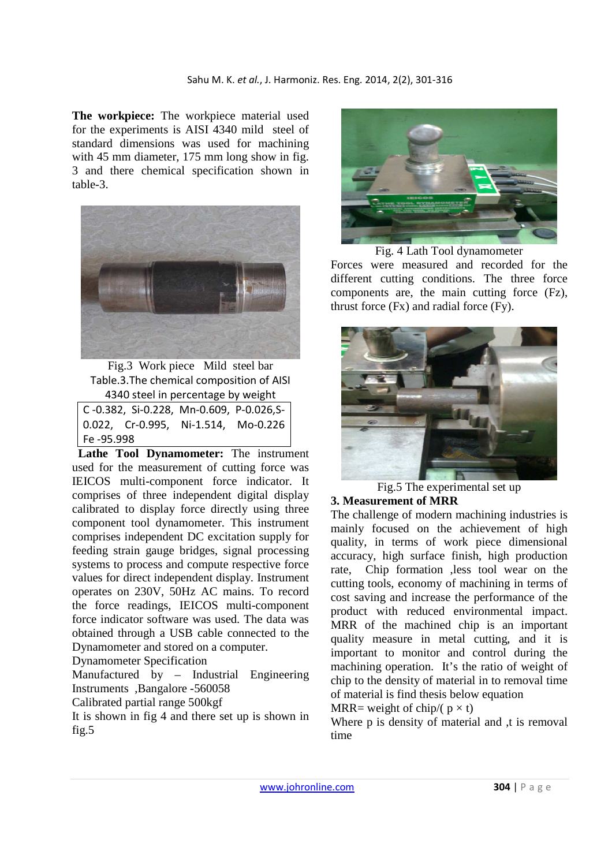**The workpiece:** The workpiece material used for the experiments is AISI 4340 mild steel of standard dimensions was used for machining with 45 mm diameter, 175 mm long show in fig. 3 and there chemical specification shown in table-3.



Fig.3 Work piece Mild steel bar Table.3.The chemical composition of AISI 4340 steel in percentage by weight

| C-0.382, Si-0.228, Mn-0.609, P-0.026,S- |  |
|-----------------------------------------|--|
| $0.022$ , Cr-0.995, Ni-1.514, Mo-0.226  |  |
| Fe -95.998                              |  |
|                                         |  |

 **Lathe Tool Dynamometer:** The instrument used for the measurement of cutting force was IEICOS multi-component force indicator. It comprises of three independent digital display calibrated to display force directly using three component tool dynamometer. This instrument comprises independent DC excitation supply for feeding strain gauge bridges, signal processing systems to process and compute respective force values for direct independent display. Instrument operates on 230V, 50Hz AC mains. To record the force readings, IEICOS multi-component force indicator software was used. The data was obtained through a USB cable connected to the Dynamometer and stored on a computer.

Dynamometer Specification

Manufactured by – Industrial Engineering Instruments ,Bangalore -560058

Calibrated partial range 500kgf

It is shown in fig 4 and there set up is shown in fig.5



Fig. 4 Lath Tool dynamometer Forces were measured and recorded for the different cutting conditions. The three force components are, the main cutting force (Fz), thrust force (Fx) and radial force (Fy).



Fig.5 The experimental set up

# **3. Measurement of MRR**

The challenge of modern machining industries is mainly focused on the achievement of high quality, in terms of work piece dimensional accuracy, high surface finish, high production rate, Chip formation ,less tool wear on the cutting tools, economy of machining in terms of cost saving and increase the performance of the product with reduced environmental impact. MRR of the machined chip is an important quality measure in metal cutting, and it is important to monitor and control during the machining operation. It's the ratio of weight of chip to the density of material in to removal time of material is find thesis below equation

MRR= weight of chip/( $p \times t$ )

Where p is density of material and t is removal time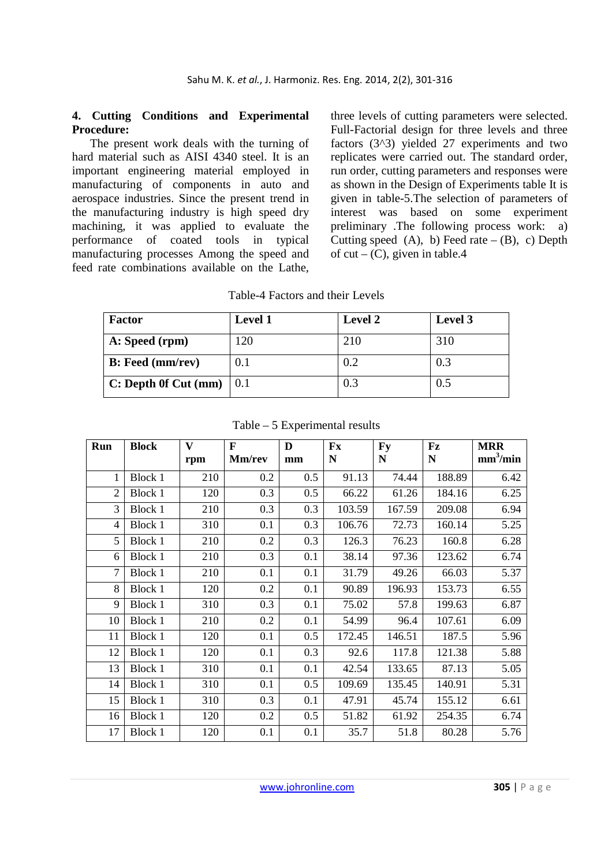### **4. Cutting Conditions and Experimental Procedure:**

 The present work deals with the turning of hard material such as AISI 4340 steel. It is an important engineering material employed in manufacturing of components in auto and aerospace industries. Since the present trend in the manufacturing industry is high speed dry machining, it was applied to evaluate the performance of coated tools in typical manufacturing processes Among the speed and feed rate combinations available on the Lathe,

three levels of cutting parameters were selected. Full-Factorial design for three levels and three factors (3^3) yielded 27 experiments and two replicates were carried out. The standard order, run order, cutting parameters and responses were as shown in the Design of Experiments table It is given in table-5.The selection of parameters of interest was based on some experiment preliminary .The following process work: a) Cutting speed  $(A)$ , b) Feed rate –  $(B)$ , c) Depth of cut –  $(C)$ , given in table.4

| Table-4 Factors and their Levels |
|----------------------------------|
|----------------------------------|

| Factor                  | <b>Level 1</b> | Level 2 | Level 3 |
|-------------------------|----------------|---------|---------|
| A: Speed (rpm)          | 120            | 210     | 310     |
| <b>B:</b> Feed (mm/rev) | 0.1            | 0.2     | 0.3     |
| C: Depth Of Cut (mm)    | 0.1            | 0.3     | 0.5     |

| Run | <b>Block</b>   | V   | F      | D   | Fx        | <b>Fy</b> | Fz          | <b>MRR</b>           |
|-----|----------------|-----|--------|-----|-----------|-----------|-------------|----------------------|
|     |                | rpm | Mm/rev | mm  | ${\bf N}$ | ${\bf N}$ | $\mathbf N$ | mm <sup>3</sup> /min |
|     | <b>Block 1</b> | 210 | 0.2    | 0.5 | 91.13     | 74.44     | 188.89      | 6.42                 |
| 2   | <b>Block 1</b> | 120 | 0.3    | 0.5 | 66.22     | 61.26     | 184.16      | 6.25                 |
| 3   | Block 1        | 210 | 0.3    | 0.3 | 103.59    | 167.59    | 209.08      | 6.94                 |
| 4   | Block 1        | 310 | 0.1    | 0.3 | 106.76    | 72.73     | 160.14      | 5.25                 |
| 5   | Block 1        | 210 | 0.2    | 0.3 | 126.3     | 76.23     | 160.8       | 6.28                 |
| 6   | Block 1        | 210 | 0.3    | 0.1 | 38.14     | 97.36     | 123.62      | 6.74                 |
| 7   | Block 1        | 210 | 0.1    | 0.1 | 31.79     | 49.26     | 66.03       | 5.37                 |
| 8   | <b>Block 1</b> | 120 | 0.2    | 0.1 | 90.89     | 196.93    | 153.73      | 6.55                 |
| 9   | <b>Block 1</b> | 310 | 0.3    | 0.1 | 75.02     | 57.8      | 199.63      | 6.87                 |
| 10  | Block 1        | 210 | 0.2    | 0.1 | 54.99     | 96.4      | 107.61      | 6.09                 |
| 11  | Block 1        | 120 | 0.1    | 0.5 | 172.45    | 146.51    | 187.5       | 5.96                 |
| 12  | <b>Block 1</b> | 120 | 0.1    | 0.3 | 92.6      | 117.8     | 121.38      | 5.88                 |
| 13  | <b>Block 1</b> | 310 | 0.1    | 0.1 | 42.54     | 133.65    | 87.13       | 5.05                 |
| 14  | Block 1        | 310 | 0.1    | 0.5 | 109.69    | 135.45    | 140.91      | 5.31                 |
| 15  | Block 1        | 310 | 0.3    | 0.1 | 47.91     | 45.74     | 155.12      | 6.61                 |
| 16  | Block 1        | 120 | 0.2    | 0.5 | 51.82     | 61.92     | 254.35      | 6.74                 |
| 17  | Block 1        | 120 | 0.1    | 0.1 | 35.7      | 51.8      | 80.28       | 5.76                 |

Table – 5 Experimental results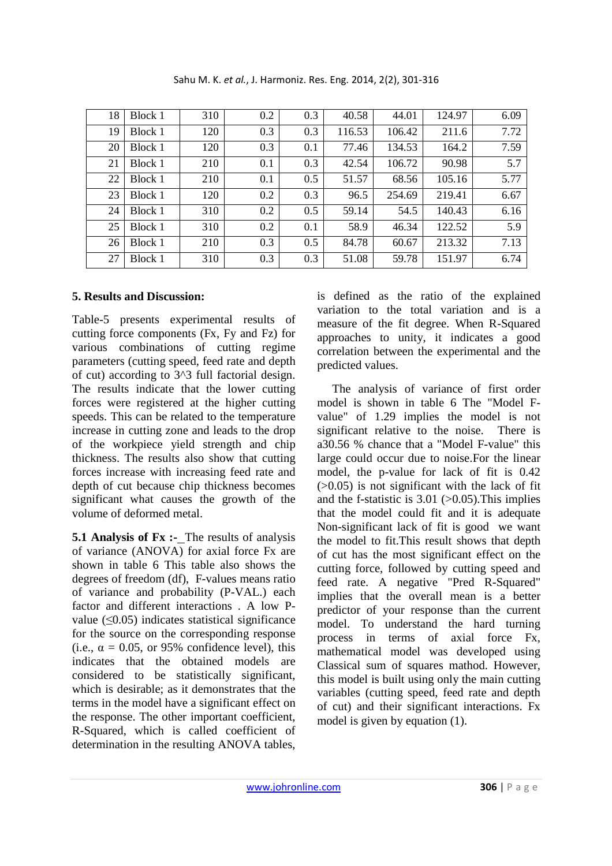| 18 | Block 1 | 310 | 0.2 | 0.3 | 40.58  | 44.01  | 124.97 | 6.09 |
|----|---------|-----|-----|-----|--------|--------|--------|------|
| 19 | Block 1 | 120 | 0.3 | 0.3 | 116.53 | 106.42 | 211.6  | 7.72 |
| 20 | Block 1 | 120 | 0.3 | 0.1 | 77.46  | 134.53 | 164.2  | 7.59 |
| 21 | Block 1 | 210 | 0.1 | 0.3 | 42.54  | 106.72 | 90.98  | 5.7  |
| 22 | Block 1 | 210 | 0.1 | 0.5 | 51.57  | 68.56  | 105.16 | 5.77 |
| 23 | Block 1 | 120 | 0.2 | 0.3 | 96.5   | 254.69 | 219.41 | 6.67 |
| 24 | Block 1 | 310 | 0.2 | 0.5 | 59.14  | 54.5   | 140.43 | 6.16 |
| 25 | Block 1 | 310 | 0.2 | 0.1 | 58.9   | 46.34  | 122.52 | 5.9  |
| 26 | Block 1 | 210 | 0.3 | 0.5 | 84.78  | 60.67  | 213.32 | 7.13 |
| 27 | Block 1 | 310 | 0.3 | 0.3 | 51.08  | 59.78  | 151.97 | 6.74 |

Sahu M. K. *et al.*, J. Harmoniz. Res. Eng. 2014, 2(2), 301-316

# **5. Results and Discussion:**

Table-5 presents experimental results of cutting force components (Fx, Fy and Fz) for various combinations of cutting regime parameters (cutting speed, feed rate and depth of cut) according to 3^3 full factorial design. The results indicate that the lower cutting forces were registered at the higher cutting speeds. This can be related to the temperature increase in cutting zone and leads to the drop of the workpiece yield strength and chip thickness. The results also show that cutting forces increase with increasing feed rate and depth of cut because chip thickness becomes significant what causes the growth of the volume of deformed metal.

**5.1 Analysis of Fx :-** The results of analysis of variance (ANOVA) for axial force Fx are shown in table 6 This table also shows the degrees of freedom (df), F-values means ratio of variance and probability (P-VAL.) each factor and different interactions . A low Pvalue  $(\leq 0.05)$  indicates statistical significance for the source on the corresponding response (i.e.,  $\alpha = 0.05$ , or 95% confidence level), this indicates that the obtained models are considered to be statistically significant, which is desirable; as it demonstrates that the terms in the model have a significant effect on the response. The other important coefficient, R-Squared, which is called coefficient of determination in the resulting ANOVA tables,

is defined as the ratio of the explained variation to the total variation and is a measure of the fit degree. When R-Squared approaches to unity, it indicates a good correlation between the experimental and the predicted values.

 The analysis of variance of first order model is shown in table 6 The "Model Fvalue" of 1.29 implies the model is not significant relative to the noise. There is a30.56 % chance that a "Model F-value" this large could occur due to noise.For the linear model, the p-value for lack of fit is 0.42  $(0.05)$  is not significant with the lack of fit and the f-statistic is  $3.01$  ( $>0.05$ ). This implies that the model could fit and it is adequate Non-significant lack of fit is good we want the model to fit.This result shows that depth of cut has the most significant effect on the cutting force, followed by cutting speed and feed rate. A negative "Pred R-Squared" implies that the overall mean is a better predictor of your response than the current model. To understand the hard turning process in terms of axial force Fx, mathematical model was developed using Classical sum of squares mathod. However, this model is built using only the main cutting variables (cutting speed, feed rate and depth of cut) and their significant interactions. Fx model is given by equation (1).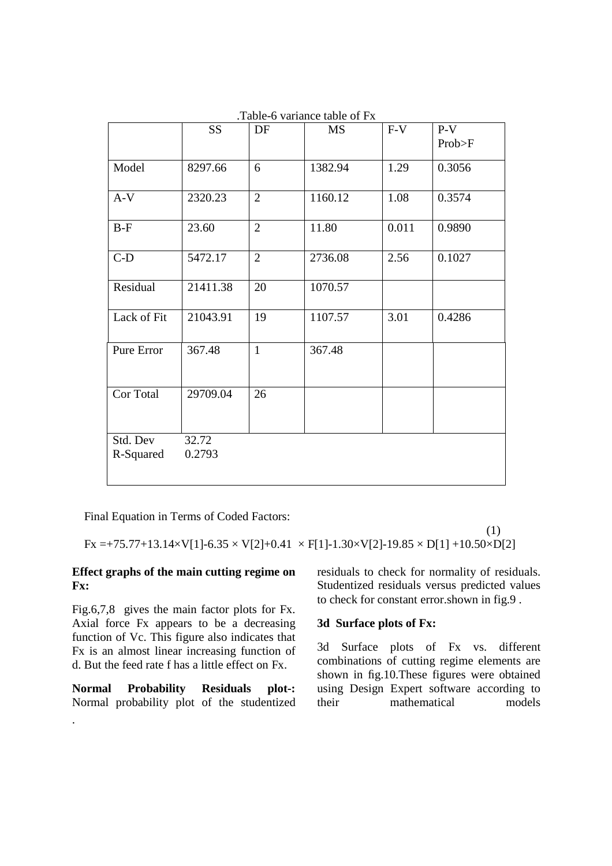|             | <b>SS</b> | DF              | <b>MS</b> | $F-V$ | $P-V$  |
|-------------|-----------|-----------------|-----------|-------|--------|
|             |           |                 |           |       | Prob>F |
| Model       | 8297.66   | $6\overline{6}$ | 1382.94   | 1.29  | 0.3056 |
| $A-V$       | 2320.23   | $\overline{2}$  | 1160.12   | 1.08  | 0.3574 |
| $B-F$       | 23.60     | $\overline{2}$  | 11.80     | 0.011 | 0.9890 |
| $C-D$       | 5472.17   | $\overline{2}$  | 2736.08   | 2.56  | 0.1027 |
| Residual    | 21411.38  | 20              | 1070.57   |       |        |
| Lack of Fit | 21043.91  | 19              | 1107.57   | 3.01  | 0.4286 |
| Pure Error  | 367.48    | $\mathbf{1}$    | 367.48    |       |        |
| Cor Total   | 29709.04  | 26              |           |       |        |
| Std. Dev    | 32.72     |                 |           |       |        |
| R-Squared   | 0.2793    |                 |           |       |        |

.Table-6 variance table of Fx

Final Equation in Terms of Coded Factors:

 (1)  $Fx = +75.77+13.14 \times V[1]-6.35 \times V[2]+0.41 \times F[1]-1.30 \times V[2]-19.85 \times D[1]+10.50 \times D[2]$ 

## **Effect graphs of the main cutting regime on Fx:**

Fig.6,7,8 gives the main factor plots for Fx. Axial force Fx appears to be a decreasing function of Vc. This figure also indicates that Fx is an almost linear increasing function of d. But the feed rate f has a little effect on Fx.

**Normal Probability Residuals plot-:** Normal probability plot of the studentized

.

residuals to check for normality of residuals. Studentized residuals versus predicted values to check for constant error.shown in fig.9 .

## **3d Surface plots of Fx:**

3d Surface plots of Fx vs. different combinations of cutting regime elements are shown in fig.10.These figures were obtained using Design Expert software according to their mathematical models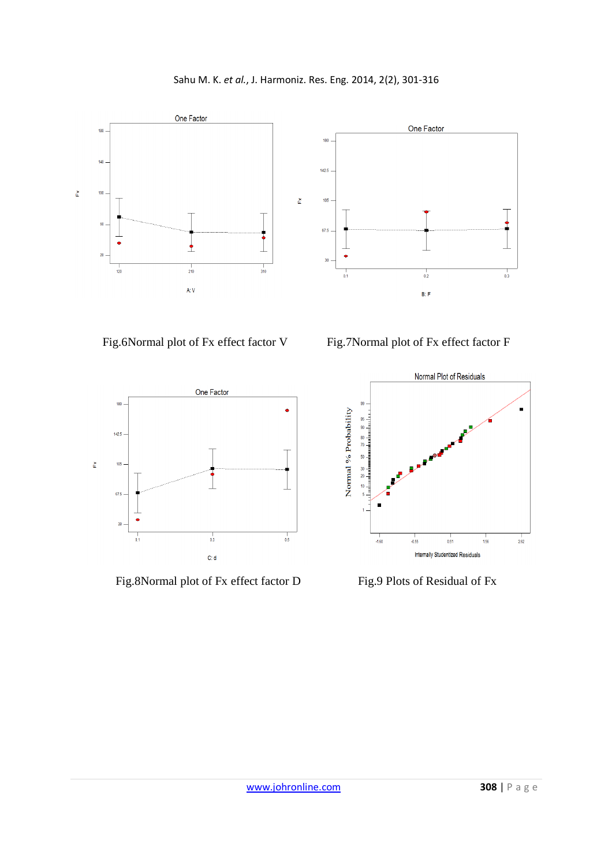Sahu M. K. *et al.*, J. Harmoniz. Res. Eng. 2014, 2(2), 301-316







Fig.8Normal plot of Fx effect factor D Fig.9 Plots of Residual of Fx

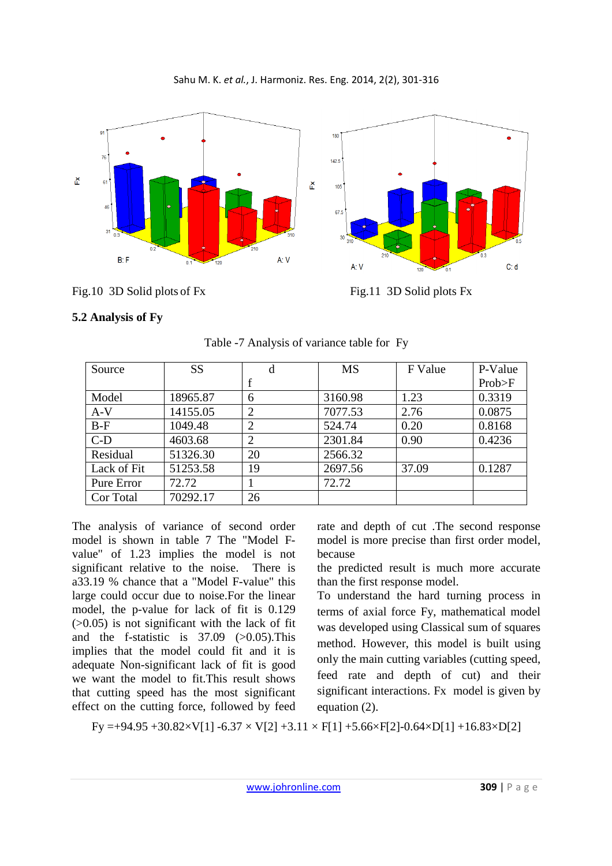

Sahu M. K. *et al.*, J. Harmoniz. Res. Eng. 2014, 2(2), 301-316

# Fig.10 3D Solid plots of Fx Fig.11 3D Solid plots Fx

# **5.2 Analysis of Fy**

| Source      | SS       | d              | <b>MS</b> | F Value | P-Value |
|-------------|----------|----------------|-----------|---------|---------|
|             |          |                |           |         | Prob>F  |
| Model       | 18965.87 | 6              | 3160.98   | 1.23    | 0.3319  |
| $A-V$       | 14155.05 | $\overline{2}$ | 7077.53   | 2.76    | 0.0875  |
| $B-F$       | 1049.48  |                | 524.74    | 0.20    | 0.8168  |
| $C-D$       | 4603.68  | $\overline{2}$ | 2301.84   | 0.90    | 0.4236  |
| Residual    | 51326.30 | 20             | 2566.32   |         |         |
| Lack of Fit | 51253.58 | 19             | 2697.56   | 37.09   | 0.1287  |
| Pure Error  | 72.72    |                | 72.72     |         |         |
| Cor Total   | 70292.17 | 26             |           |         |         |

Table -7 Analysis of variance table for Fy

The analysis of variance of second order model is shown in table 7 The "Model Fvalue" of 1.23 implies the model is not significant relative to the noise. There is a33.19 % chance that a "Model F-value" this large could occur due to noise.For the linear model, the p-value for lack of fit is 0.129  $(0.05)$  is not significant with the lack of fit and the f-statistic is  $37.09$  ( $>0.05$ ). This implies that the model could fit and it is adequate Non-significant lack of fit is good we want the model to fit.This result shows that cutting speed has the most significant effect on the cutting force, followed by feed

rate and depth of cut .The second response model is more precise than first order model, because

the predicted result is much more accurate than the first response model.

To understand the hard turning process in terms of axial force Fy, mathematical model was developed using Classical sum of squares method. However, this model is built using only the main cutting variables (cutting speed, feed rate and depth of cut) and their significant interactions. Fx model is given by equation (2).

Fy =+94.95 +30.82×V[1] -6.37 × V[2] +3.11 × F[1] +5.66×F[2]-0.64×D[1] +16.83×D[2]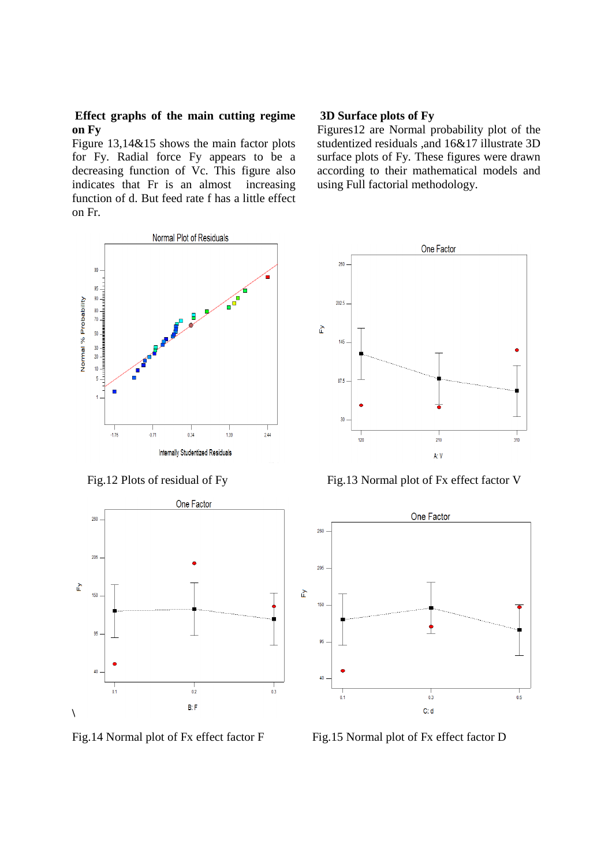#### **Effect graphs of the main cutting regime on Fy**

Figure 13,14&15 shows the main factor plots for Fy. Radial force Fy appears to be a decreasing function of Vc. This figure also indicates that Fr is an almost increasing function of d. But feed rate f has a little effect on Fr.

# **3D Surface plots of Fy**

260

 $202.5$ 

145

 $87.5$ 

30

 $120$ 

 $\tilde{\mathsf{F}}$ 

Figures12 are Normal probability plot of the studentized residuals ,and 16&17 illustrate 3D surface plots of Fy. These figures were drawn according to their mathematical models and using Full factorial methodology.

One Factor





Fig.14 Normal plot of Fx effect factor F Fig.15 Normal plot of Fx effect factor D

Fig.12 Plots of residual of Fy Fig.13 Normal plot of Fx effect factor V

 $210$ 

A: V

 $310$ 

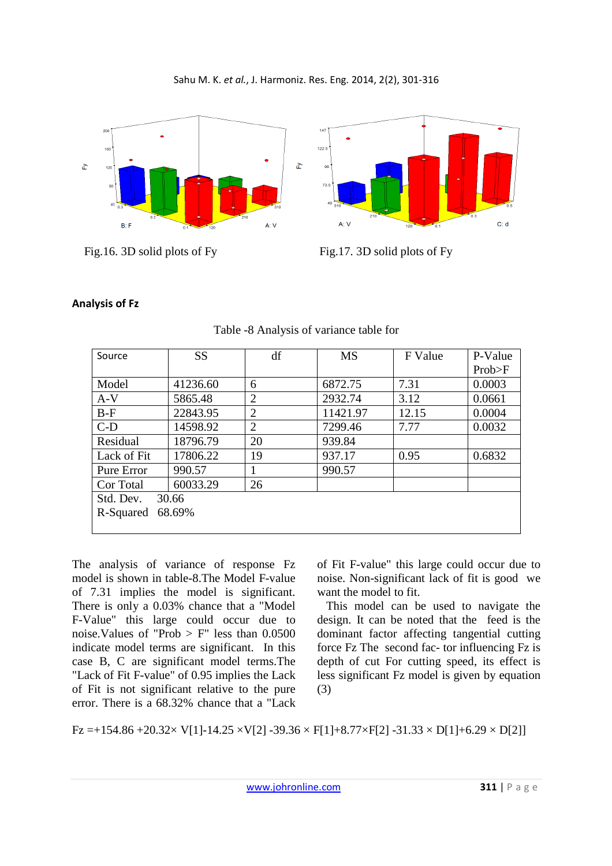Sahu M. K. *et al.*, J. Harmoniz. Res. Eng. 2014, 2(2), 301-316



Fig.16. 3D solid plots of Fy Fig.17. 3D solid plots of Fy

# **Analysis of Fz**

| Source              | <b>SS</b> | df             | <b>MS</b> | F Value | P-Value |  |  |
|---------------------|-----------|----------------|-----------|---------|---------|--|--|
|                     |           |                |           |         | Prob>F  |  |  |
| Model               | 41236.60  | 6              | 6872.75   | 7.31    | 0.0003  |  |  |
| $A-V$               | 5865.48   | $\overline{2}$ | 2932.74   | 3.12    | 0.0661  |  |  |
| $B-F$               | 22843.95  | $\overline{2}$ | 11421.97  | 12.15   | 0.0004  |  |  |
| $C-D$               | 14598.92  | 2              | 7299.46   | 7.77    | 0.0032  |  |  |
| Residual            | 18796.79  | 20             | 939.84    |         |         |  |  |
| Lack of Fit         | 17806.22  | 19             | 937.17    | 0.95    | 0.6832  |  |  |
| Pure Error          | 990.57    |                | 990.57    |         |         |  |  |
| Cor Total           | 60033.29  | 26             |           |         |         |  |  |
| Std. Dev.<br>30.66  |           |                |           |         |         |  |  |
| 68.69%<br>R-Squared |           |                |           |         |         |  |  |
|                     |           |                |           |         |         |  |  |

Table -8 Analysis of variance table for

The analysis of variance of response Fz model is shown in table-8.The Model F-value of 7.31 implies the model is significant. There is only a 0.03% chance that a "Model F-Value" this large could occur due to noise. Values of "Prob  $>$  F" less than 0.0500 indicate model terms are significant. In this case B, C are significant model terms.The "Lack of Fit F-value" of 0.95 implies the Lack of Fit is not significant relative to the pure error. There is a 68.32% chance that a "Lack

of Fit F-value" this large could occur due to noise. Non-significant lack of fit is good we want the model to fit.

 This model can be used to navigate the design. It can be noted that the feed is the dominant factor affecting tangential cutting force Fz The second fac- tor influencing Fz is depth of cut For cutting speed, its effect is less significant Fz model is given by equation (3)

 $Fz = +154.86 + 20.32 \times V[1]-14.25 \times V[2]-39.36 \times F[1]+8.77 \times F[2]-31.33 \times D[1]+6.29 \times D[2]$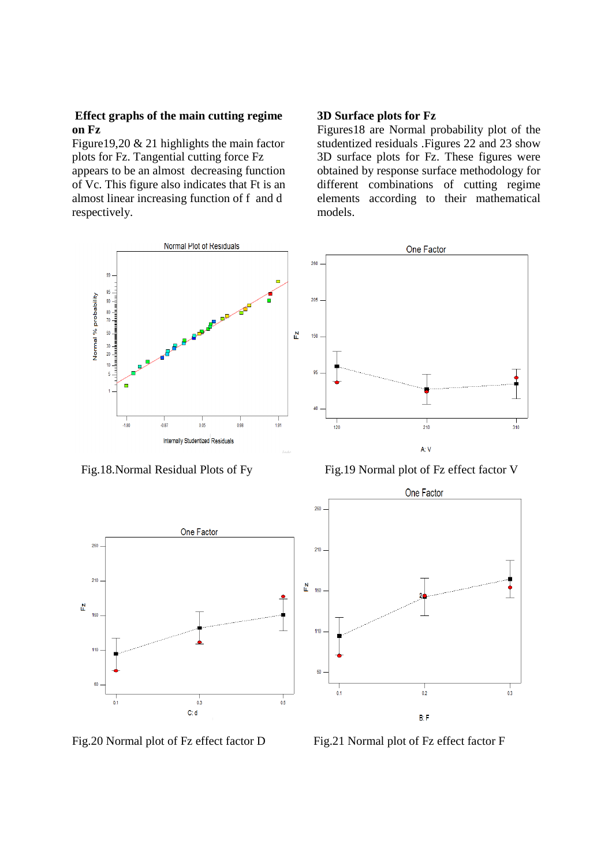#### **Effect graphs of the main cutting regime on Fz**

Figure19,20 & 21 highlights the main factor plots for Fz. Tangential cutting force Fz appears to be an almost decreasing function of Vc. This figure also indicates that Ft is an almost linear increasing function of f and d respectively.

## **3D Surface plots for Fz**

Figures18 are Normal probability plot of the studentized residuals .Figures 22 and 23 show 3D surface plots for Fz. These figures were obtained by response surface methodology for different combinations of cutting regime elements according to their mathematical models.



260

 $210$ 

 $110$ 

60

 $\mathbf{r}$ 160

Fig.18.Normal Residual Plots of Fy Fig.19 Normal plot of Fz effect factor V

One Factor





Fig.20 Normal plot of Fz effect factor D Fig.21 Normal plot of Fz effect factor F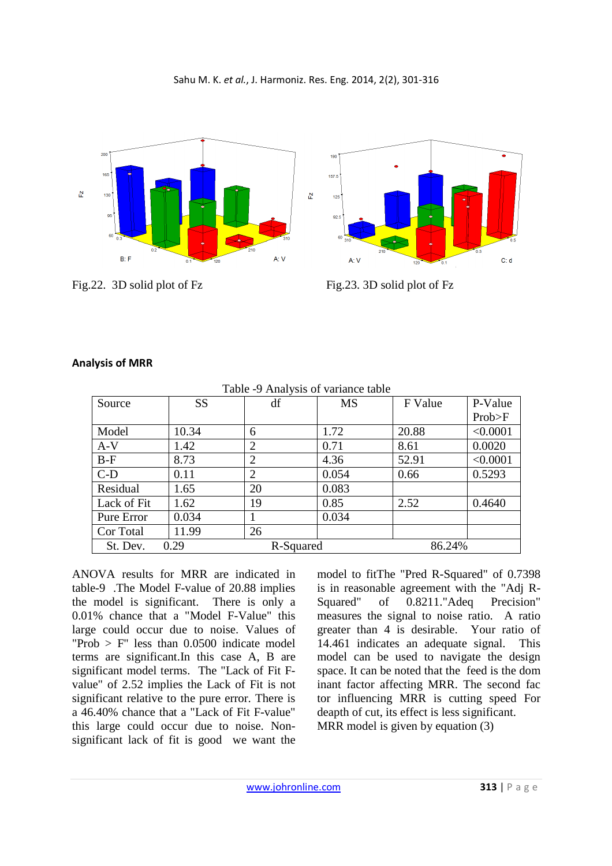



Fig.22. 3D solid plot of Fz Fig.23. 3D solid plot of Fz



|             | Table -9 Analysis of variance table |                |           |         |          |  |  |  |
|-------------|-------------------------------------|----------------|-----------|---------|----------|--|--|--|
| Source      | <b>SS</b>                           | df             | <b>MS</b> | F Value | P-Value  |  |  |  |
|             |                                     |                |           |         | Prob>F   |  |  |  |
| Model       | 10.34                               | 6              | 1.72      | 20.88   | < 0.0001 |  |  |  |
| $A-V$       | 1.42                                | $\overline{2}$ | 0.71      | 8.61    | 0.0020   |  |  |  |
| $B-F$       | 8.73                                | $\overline{2}$ | 4.36      | 52.91   | < 0.0001 |  |  |  |
| $C-D$       | 0.11                                | 2              | 0.054     | 0.66    | 0.5293   |  |  |  |
| Residual    | 1.65                                | 20             | 0.083     |         |          |  |  |  |
| Lack of Fit | 1.62                                | 19             | 0.85      | 2.52    | 0.4640   |  |  |  |
| Pure Error  | 0.034                               |                | 0.034     |         |          |  |  |  |
| Cor Total   | 11.99                               | 26             |           |         |          |  |  |  |
| St. Dev.    | 0.29                                | R-Squared      |           | 86.24%  |          |  |  |  |

# **Analysis of MRR**

ANOVA results for MRR are indicated in table-9 .The Model F-value of 20.88 implies the model is significant. There is only a 0.01% chance that a "Model F-Value" this large could occur due to noise. Values of "Prob  $>$  F" less than 0.0500 indicate model terms are significant.In this case A, B are significant model terms. The "Lack of Fit Fvalue" of 2.52 implies the Lack of Fit is not significant relative to the pure error. There is a 46.40% chance that a "Lack of Fit F-value" this large could occur due to noise. Nonsignificant lack of fit is good we want the

model to fitThe "Pred R-Squared" of 0.7398 is in reasonable agreement with the "Adj R-Squared" of 0.8211."Adeq Precision" measures the signal to noise ratio. A ratio greater than 4 is desirable. Your ratio of 14.461 indicates an adequate signal. This model can be used to navigate the design space. It can be noted that the feed is the dom inant factor affecting MRR. The second fac tor influencing MRR is cutting speed For deapth of cut, its effect is less significant.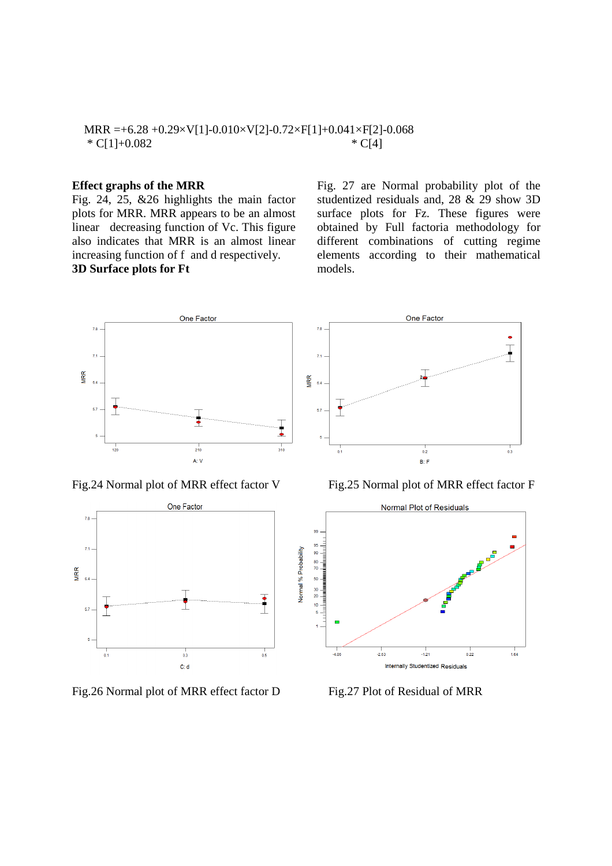## MRR =+6.28 +0.29×V[1]-0.010×V[2]-0.72×F[1]+0.041×F[2]-0.068  $* C[1]+0.082$   $* C[4]$

#### **Effect graphs of the MRR**

Fig. 24, 25, &26 highlights the main factor plots for MRR. MRR appears to be an almost linear decreasing function of Vc. This figure also indicates that MRR is an almost linear increasing function of f and d respectively. **3D Surface plots for Ft** 

Fig. 27 are Normal probability plot of the studentized residuals and, 28 & 29 show 3D surface plots for Fz. These figures were obtained by Full factoria methodology for different combinations of cutting regime elements according to their mathematical models.





Fig.26 Normal plot of MRR effect factor D Fig.27 Plot of Residual of MRR



Fig.24 Normal plot of MRR effect factor V Fig.25 Normal plot of MRR effect factor F

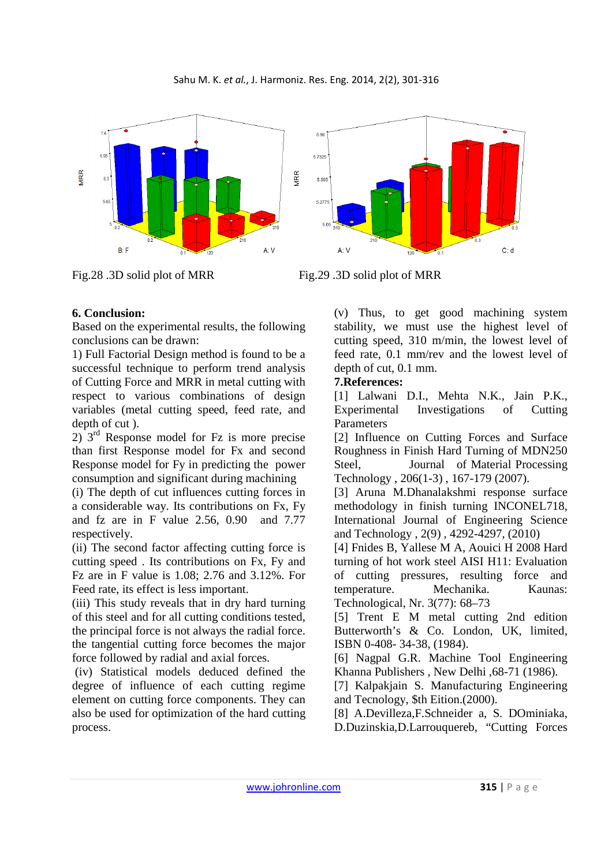

Fig.28 .3D solid plot of MRR Fig.29 .3D solid plot of MRR

# **6. Conclusion:**

Based on the experimental results, the following conclusions can be drawn:

1) Full Factorial Design method is found to be a successful technique to perform trend analysis of Cutting Force and MRR in metal cutting with respect to various combinations of design variables (metal cutting speed, feed rate, and depth of cut ).

 $2)$   $3<sup>rd</sup>$  Response model for Fz is more precise than first Response model for Fx and second Response model for Fy in predicting the power consumption and significant during machining

(i) The depth of cut influences cutting forces in a considerable way. Its contributions on Fx, Fy and fz are in F value 2.56, 0.90 and 7.77 respectively.

(ii) The second factor affecting cutting force is cutting speed . Its contributions on Fx, Fy and Fz are in F value is 1.08; 2.76 and 3.12%. For Feed rate, its effect is less important.

(iii) This study reveals that in dry hard turning of this steel and for all cutting conditions tested, the principal force is not always the radial force. the tangential cutting force becomes the major force followed by radial and axial forces.

 (iv) Statistical models deduced defined the degree of influence of each cutting regime element on cutting force components. They can also be used for optimization of the hard cutting process.

(v) Thus, to get good machining system stability, we must use the highest level of cutting speed, 310 m/min, the lowest level of feed rate, 0.1 mm/rev and the lowest level of depth of cut, 0.1 mm.

# **7.References:**

[1] Lalwani D.I., Mehta N.K., Jain P.K., Experimental Investigations of Cutting Parameters

[2] Influence on Cutting Forces and Surface Roughness in Finish Hard Turning of MDN250 Steel, Journal of Material Processing Technology , 206(1-3) , 167-179 (2007).

[3] Aruna M.Dhanalakshmi response surface methodology in finish turning INCONEL718, International Journal of Engineering Science and Technology , 2(9) , 4292-4297, (2010)

[4] Fnides B, Yallese M A, Aouici H 2008 Hard turning of hot work steel AISI H11: Evaluation of cutting pressures, resulting force and temperature. Mechanika. Kaunas: Technological, Nr. 3(77): 68–73

[5] Trent E M metal cutting 2nd edition Butterworth's & Co. London, UK, limited, ISBN 0-408- 34-38, (1984).

[6] Nagpal G.R. Machine Tool Engineering Khanna Publishers , New Delhi ,68-71 (1986).

[7] Kalpakjain S. Manufacturing Engineering and Tecnology, \$th Eition.(2000).

[8] A.Devilleza,F.Schneider a, S. DOminiaka, D.Duzinskia,D.Larrouquereb, "Cutting Forces